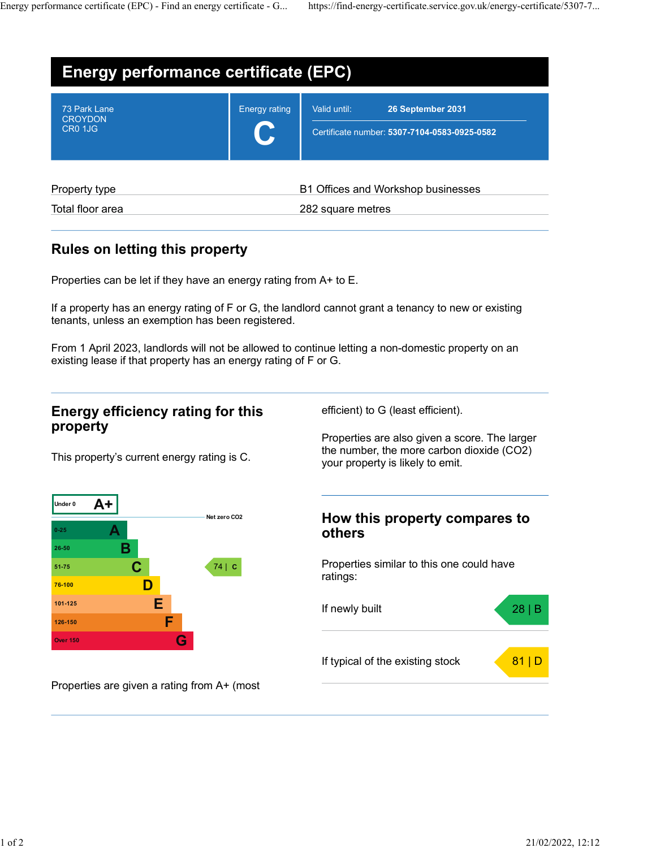|                                                                                        |                                                           | https://find-energy-certificate.service.gov.uk/energy-certificate/5307-7 |
|----------------------------------------------------------------------------------------|-----------------------------------------------------------|--------------------------------------------------------------------------|
|                                                                                        |                                                           |                                                                          |
| <b>Energy performance certificate (EPC)</b>                                            |                                                           |                                                                          |
| 73 Park Lane                                                                           | Valid until:<br>26 September 2031<br><b>Energy rating</b> |                                                                          |
| <b>CROYDON</b><br>CR0 1JG                                                              | Certificate number: 5307-7104-0583-0925-0582              |                                                                          |
| Energy performance certificate (EPC) - Find an energy certificate - G<br>Property type | B1 Offices and Workshop businesses                        |                                                                          |

### Rules on letting this property

Properties can be let if they have an energy rating from A+ to E.

If a property has an energy rating of F or G, the landlord cannot grant a tenancy to new or existing tenants, unless an exemption has been registered.

From 1 April 2023, landlords will not be allowed to continue letting a non-domestic property on an existing lease if that property has an energy rating of F or G.

# Energy efficiency rating for this property

efficient) to G (least efficient).

Properties are also given a score. The larger the number, the more carbon dioxide (CO2) your property is likely to emit.

This property's current energy rating is C.



# A others others and  $\lambda$

 $\mathbf{C}$   $\begin{bmatrix} 74 & c \end{bmatrix}$  Properties similar to this one could have ratings:



Properties are given a rating from A+ (most